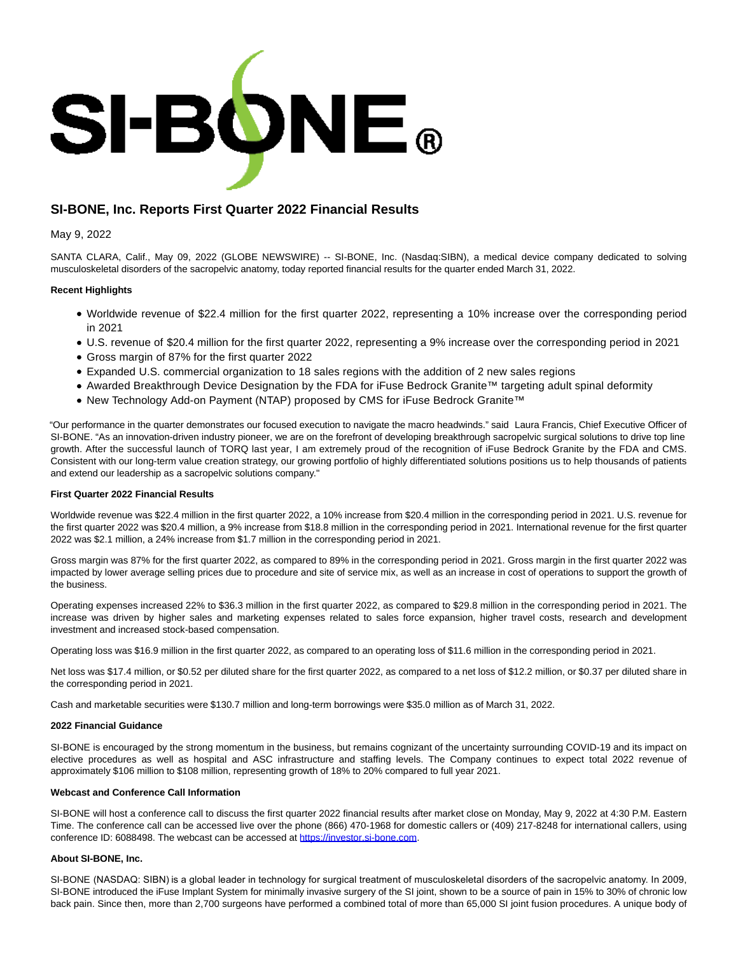

# **SI-BONE, Inc. Reports First Quarter 2022 Financial Results**

#### May 9, 2022

SANTA CLARA, Calif., May 09, 2022 (GLOBE NEWSWIRE) -- SI-BONE, Inc. (Nasdaq:SIBN), a medical device company dedicated to solving musculoskeletal disorders of the sacropelvic anatomy, today reported financial results for the quarter ended March 31, 2022.

### **Recent Highlights**

- Worldwide revenue of \$22.4 million for the first quarter 2022, representing a 10% increase over the corresponding period in 2021
- U.S. revenue of \$20.4 million for the first quarter 2022, representing a 9% increase over the corresponding period in 2021
- Gross margin of 87% for the first quarter 2022
- Expanded U.S. commercial organization to 18 sales regions with the addition of 2 new sales regions
- Awarded Breakthrough Device Designation by the FDA for iFuse Bedrock Granite™ targeting adult spinal deformity
- New Technology Add-on Payment (NTAP) proposed by CMS for iFuse Bedrock Granite™

"Our performance in the quarter demonstrates our focused execution to navigate the macro headwinds." said Laura Francis, Chief Executive Officer of SI-BONE. "As an innovation-driven industry pioneer, we are on the forefront of developing breakthrough sacropelvic surgical solutions to drive top line growth. After the successful launch of TORQ last year, I am extremely proud of the recognition of iFuse Bedrock Granite by the FDA and CMS. Consistent with our long-term value creation strategy, our growing portfolio of highly differentiated solutions positions us to help thousands of patients and extend our leadership as a sacropelvic solutions company."

#### **First Quarter 2022 Financial Results**

Worldwide revenue was \$22.4 million in the first quarter 2022, a 10% increase from \$20.4 million in the corresponding period in 2021. U.S. revenue for the first quarter 2022 was \$20.4 million, a 9% increase from \$18.8 million in the corresponding period in 2021. International revenue for the first quarter 2022 was \$2.1 million, a 24% increase from \$1.7 million in the corresponding period in 2021.

Gross margin was 87% for the first quarter 2022, as compared to 89% in the corresponding period in 2021. Gross margin in the first quarter 2022 was impacted by lower average selling prices due to procedure and site of service mix, as well as an increase in cost of operations to support the growth of the business.

Operating expenses increased 22% to \$36.3 million in the first quarter 2022, as compared to \$29.8 million in the corresponding period in 2021. The increase was driven by higher sales and marketing expenses related to sales force expansion, higher travel costs, research and development investment and increased stock-based compensation.

Operating loss was \$16.9 million in the first quarter 2022, as compared to an operating loss of \$11.6 million in the corresponding period in 2021.

Net loss was \$17.4 million, or \$0.52 per diluted share for the first quarter 2022, as compared to a net loss of \$12.2 million, or \$0.37 per diluted share in the corresponding period in 2021.

Cash and marketable securities were \$130.7 million and long-term borrowings were \$35.0 million as of March 31, 2022.

#### **2022 Financial Guidance**

SI-BONE is encouraged by the strong momentum in the business, but remains cognizant of the uncertainty surrounding COVID-19 and its impact on elective procedures as well as hospital and ASC infrastructure and staffing levels. The Company continues to expect total 2022 revenue of approximately \$106 million to \$108 million, representing growth of 18% to 20% compared to full year 2021.

#### **Webcast and Conference Call Information**

SI-BONE will host a conference call to discuss the first quarter 2022 financial results after market close on Monday, May 9, 2022 at 4:30 P.M. Eastern Time. The conference call can be accessed live over the phone (866) 470-1968 for domestic callers or (409) 217-8248 for international callers, using conference ID: 6088498. The webcast can be accessed at [https://investor.si-bone.com.](https://www.globenewswire.com/Tracker?data=pAXiQYes4jB2jbPSJeKTWDyzNRk0yUo1NBHPlihCxEbKz55wy7YQo_UIouyV7X5Hl7LNfdaRxm9kUHriQFVIEOPzLz5rbhaPU2jQ7-zGCd8=)

#### **About SI-BONE, Inc.**

SI-BONE (NASDAQ: SIBN) is a global leader in technology for surgical treatment of musculoskeletal disorders of the sacropelvic anatomy. In 2009, SI-BONE introduced the iFuse Implant System for minimally invasive surgery of the SI joint, shown to be a source of pain in 15% to 30% of chronic low back pain. Since then, more than 2,700 surgeons have performed a combined total of more than 65,000 SI joint fusion procedures. A unique body of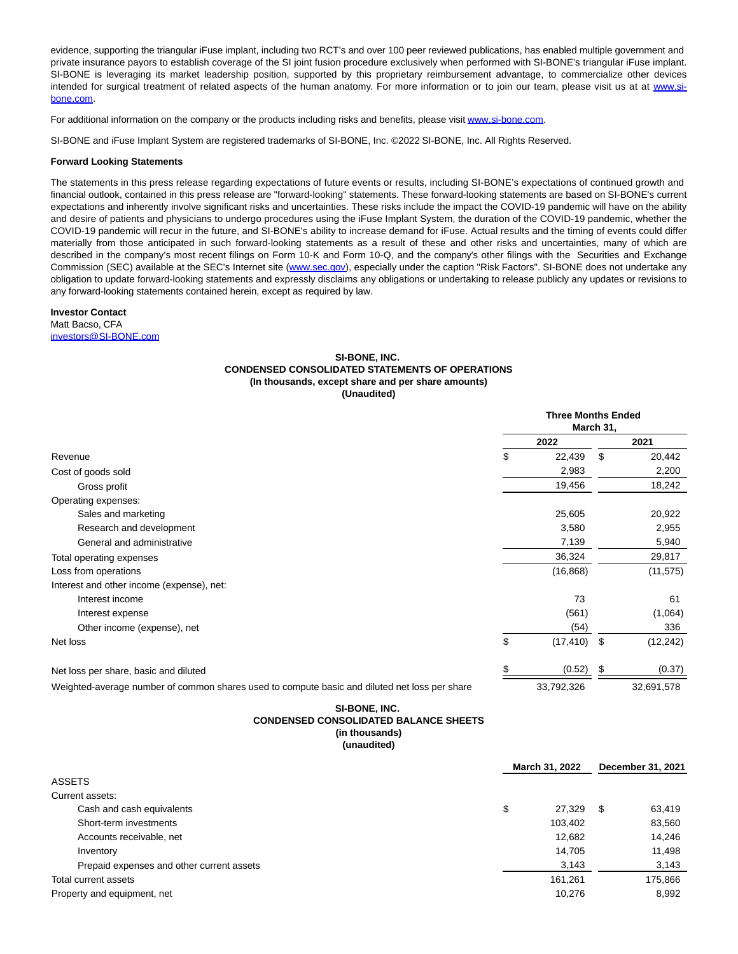evidence, supporting the triangular iFuse implant, including two RCT's and over 100 peer reviewed publications, has enabled multiple government and private insurance payors to establish coverage of the SI joint fusion procedure exclusively when performed with SI-BONE's triangular iFuse implant. SI-BONE is leveraging its market leadership position, supported by this proprietary reimbursement advantage, to commercialize other devices intended for surgical treatment of related aspects of the human anatomy. For more information or to join our team, please visit us at at [www.si](http://www.si-bone.com/)bone.com.

For additional information on the company or the products including risks and benefits, please visi[t www.si-bone.com.](http://www.si-bone.com/)

SI-BONE and iFuse Implant System are registered trademarks of SI-BONE, Inc. ©2022 SI-BONE, Inc. All Rights Reserved.

#### **Forward Looking Statements**

The statements in this press release regarding expectations of future events or results, including SI-BONE's expectations of continued growth and financial outlook, contained in this press release are "forward-looking" statements. These forward-looking statements are based on SI-BONE's current expectations and inherently involve significant risks and uncertainties. These risks include the impact the COVID-19 pandemic will have on the ability and desire of patients and physicians to undergo procedures using the iFuse Implant System, the duration of the COVID-19 pandemic, whether the COVID-19 pandemic will recur in the future, and SI-BONE's ability to increase demand for iFuse. Actual results and the timing of events could differ materially from those anticipated in such forward-looking statements as a result of these and other risks and uncertainties, many of which are described in the company's most recent filings on Form 10-K and Form 10-Q, and the company's other filings with the Securities and Exchange Commission (SEC) available at the SEC's Internet site [\(www.sec.gov\),](http://www.sec.gov/) especially under the caption "Risk Factors". SI-BONE does not undertake any obligation to update forward-looking statements and expressly disclaims any obligations or undertaking to release publicly any updates or revisions to any forward-looking statements contained herein, except as required by law.

## **Investor Contact**

Matt Bacso, CFA [investors@SI-BONE.com](https://www.globenewswire.com/Tracker?data=xfhPSa5vBdZA5GGh28iudgLonLM32qnwVGNWuIGiMZ0g9n4N3xARvQarNITr7deg-i7Z66HpmfdOKyU2ebxtMUROdD7LBu-0YyIz1JYscM0=)

#### **SI-BONE, INC. CONDENSED CONSOLIDATED STATEMENTS OF OPERATIONS (In thousands, except share and per share amounts) (Unaudited)**

|                                                                                               | <b>Three Months Ended</b><br>March 31, |                |      |            |
|-----------------------------------------------------------------------------------------------|----------------------------------------|----------------|------|------------|
| Revenue                                                                                       | 2022                                   |                | 2021 |            |
|                                                                                               | \$                                     | 22,439         | \$   | 20,442     |
| Cost of goods sold                                                                            |                                        | 2,983          |      | 2,200      |
| Gross profit                                                                                  |                                        | 19,456         |      | 18,242     |
| Operating expenses:                                                                           |                                        |                |      |            |
| Sales and marketing                                                                           |                                        | 25,605         |      | 20,922     |
| Research and development                                                                      |                                        | 3,580          |      | 2,955      |
| General and administrative                                                                    |                                        | 7,139          |      | 5,940      |
| Total operating expenses                                                                      |                                        | 36,324         |      | 29,817     |
| Loss from operations                                                                          |                                        | (16, 868)      |      | (11, 575)  |
| Interest and other income (expense), net:                                                     |                                        |                |      |            |
| Interest income                                                                               |                                        | 73             |      | 61         |
| Interest expense                                                                              |                                        | (561)          |      | (1,064)    |
| Other income (expense), net                                                                   |                                        | (54)           |      | 336        |
| Net loss                                                                                      | \$                                     | $(17, 410)$ \$ |      | (12, 242)  |
| Net loss per share, basic and diluted                                                         |                                        | (0.52)         | S    | (0.37)     |
| Weighted-average number of common shares used to compute basic and diluted net loss per share |                                        | 33,792,326     |      | 32,691,578 |

### **SI-BONE, INC. CONDENSED CONSOLIDATED BALANCE SHEETS (in thousands) (unaudited)**

|                                           |    | March 31, 2022 |      | December 31, 2021 |  |
|-------------------------------------------|----|----------------|------|-------------------|--|
| <b>ASSETS</b>                             |    |                |      |                   |  |
| Current assets:                           |    |                |      |                   |  |
| Cash and cash equivalents                 | \$ | 27,329         | - \$ | 63,419            |  |
| Short-term investments                    |    | 103,402        |      | 83,560            |  |
| Accounts receivable, net                  |    | 12,682         |      | 14.246            |  |
| Inventory                                 |    | 14.705         |      | 11,498            |  |
| Prepaid expenses and other current assets |    | 3,143          |      | 3,143             |  |
| Total current assets                      |    | 161.261        |      | 175,866           |  |
| Property and equipment, net               |    | 10,276         |      | 8,992             |  |